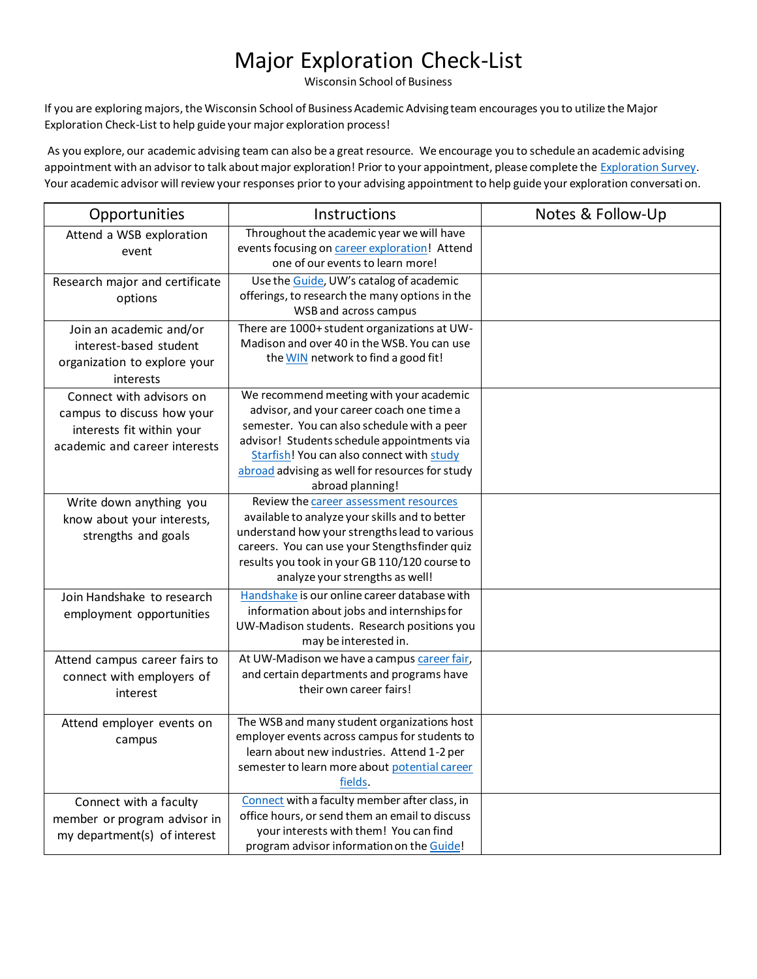## Major Exploration Check-List

Wisconsin School of Business

If you are exploring majors, the Wisconsin School of Business Academic Advising team encourages you to utilize the Major Exploration Check-List to help guide your major exploration process!

As you explore, our academic advising team can also be a great resource. We encourage you to schedule an academic advising appointment with an advisor to talk about major exploration! Prior to your appointment, please complete th[e Exploration Survey](https://buswisc.qualtrics.com/jfe/form/SV_bvLwOFdzitE3xvD). Your academic advisor will review your responses prior to your advising appointment to help guide your exploration conversation.

| Opportunities                                                                                                        | Instructions                                                                                                                                                                                                                                                                                           | Notes & Follow-Up |
|----------------------------------------------------------------------------------------------------------------------|--------------------------------------------------------------------------------------------------------------------------------------------------------------------------------------------------------------------------------------------------------------------------------------------------------|-------------------|
| Attend a WSB exploration<br>event                                                                                    | Throughout the academic year we will have<br>events focusing on career exploration! Attend<br>one of our events to learn more!                                                                                                                                                                         |                   |
| Research major and certificate<br>options                                                                            | Use the Guide, UW's catalog of academic<br>offerings, to research the many options in the<br>WSB and across campus                                                                                                                                                                                     |                   |
| Join an academic and/or<br>interest-based student<br>organization to explore your<br>interests                       | There are 1000+ student organizations at UW-<br>Madison and over 40 in the WSB. You can use<br>the WIN network to find a good fit!                                                                                                                                                                     |                   |
| Connect with advisors on<br>campus to discuss how your<br>interests fit within your<br>academic and career interests | We recommend meeting with your academic<br>advisor, and your career coach one time a<br>semester. You can also schedule with a peer<br>advisor! Students schedule appointments via<br>Starfish! You can also connect with study<br>abroad advising as well for resources for study<br>abroad planning! |                   |
| Write down anything you<br>know about your interests,<br>strengths and goals                                         | Review the career assessment resources<br>available to analyze your skills and to better<br>understand how your strengths lead to various<br>careers. You can use your Stengthsfinder quiz<br>results you took in your GB 110/120 course to<br>analyze your strengths as well!                         |                   |
| Join Handshake to research<br>employment opportunities                                                               | Handshake is our online career database with<br>information about jobs and internships for<br>UW-Madison students. Research positions you<br>may be interested in.                                                                                                                                     |                   |
| Attend campus career fairs to<br>connect with employers of<br>interest                                               | At UW-Madison we have a campus career fair,<br>and certain departments and programs have<br>their own career fairs!                                                                                                                                                                                    |                   |
| Attend employer events on<br>campus                                                                                  | The WSB and many student organizations host<br>employer events across campus for students to<br>learn about new industries. Attend 1-2 per<br>semester to learn more about potential career<br>fields.                                                                                                 |                   |
| Connect with a faculty<br>member or program advisor in<br>my department(s) of interest                               | Connect with a faculty member after class, in<br>office hours, or send them an email to discuss<br>your interests with them! You can find<br>program advisor information on the Guide!                                                                                                                 |                   |